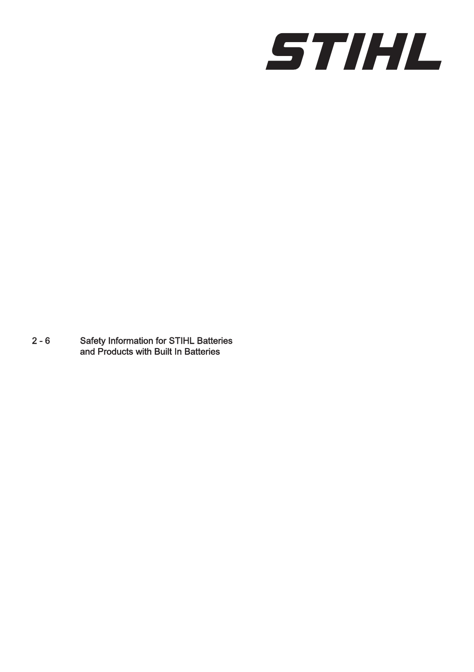

Safety Information for STIHL Batteries and Products with Built In Batteries  $2 - 6$  $2 - 6$  $2 - 6$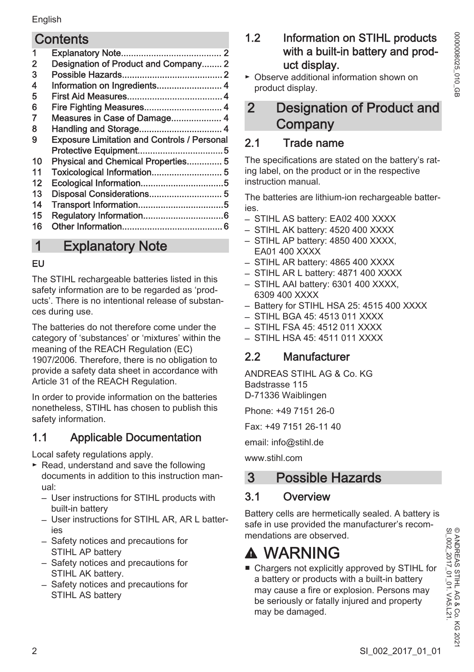<span id="page-1-0"></span>

| Contents |                                                    |
|----------|----------------------------------------------------|
| 1        |                                                    |
| 2        | Designation of Product and Company 2               |
| 3        |                                                    |
| 4        | Information on Ingredients 4                       |
| 5        |                                                    |
| 6        | Fire Fighting Measures 4                           |
| 7        | Measures in Case of Damage 4                       |
| 8        |                                                    |
| 9        | <b>Exposure Limitation and Controls / Personal</b> |
|          |                                                    |
| 10       | Physical and Chemical Properties 5                 |
| 11       |                                                    |
| 12       |                                                    |
| 13       | Disposal Considerations 5                          |
| 14       |                                                    |
| 15       |                                                    |
| 16       |                                                    |
|          |                                                    |

#### 1 Explanatory Note

#### EU

The STIHL rechargeable batteries listed in this safety information are to be regarded as 'products'. There is no intentional release of substan‐ ces during use.

The batteries do not therefore come under the category of 'substances' or 'mixtures' within the meaning of the REACH Regulation (EC) 1907/2006. Therefore, there is no obligation to provide a safety data sheet in accordance with Article 31 of the REACH Regulation.

In order to provide information on the batteries nonetheless, STIHL has chosen to publish this safety information.

#### 1.1 Applicable Documentation

Local safety regulations apply.

- ► Read, understand and save the following documents in addition to this instruction man‐ ual:
	- User instructions for STIHL products with built-in battery
	- User instructions for STIHL AR, AR L batter‐ ies
	- Safety notices and precautions for STIHL AP battery
	- Safety notices and precautions for STIHL AK battery.
	- Safety notices and precautions for STIHL AS battery

#### 1.2 Information on STIHL products with a built-in battery and prod‐ uct display.

► Observe additional information shown on product display.

## 2 Designation of Product and **Company**

#### 2.1 Trade name

The specifications are stated on the battery's rat‐ ing label, on the product or in the respective instruction manual.

The batteries are lithium-ion rechargeable batter‐ ies.

- STIHL AS battery: EA02 400 XXXX
- STIHL AK battery: 4520 400 XXXX
- STIHL AP battery: 4850 400 XXXX, EA01 400 XXXX
- STIHL AR battery: 4865 400 XXXX
- STIHL AR L battery: 4871 400 XXXX
- STIHL AAI battery: 6301 400 XXXX, 6309 400 XXXX
- Battery for STIHL HSA 25: 4515 400 XXXX
- STIHL BGA 45: 4513 011 XXXX
- STIHL FSA 45: 4512 011 XXXX
- STIHL HSA 45: 4511 011 XXXX

## 2.2 Manufacturer

ANDREAS STIHL AG & Co. KG Badstrasse 115 D-71336 Waiblingen

Phone: +49 7151 26-0

Fax: +49 7151 26-11 40

email: info@stihl.de

[www.stihl.com](http://www.stihl.com)

# 3 Possible Hazards

## 3.1 Overview

Battery cells are hermetically sealed. A battery is safe in use provided the manufacturer's recommendations are observed.

# **A WARNING**

■ Chargers not explicitly approved by STIHL for a battery or products with a built-in battery may cause a fire or explosion. Persons may be seriously or fatally injured and property may be damaged.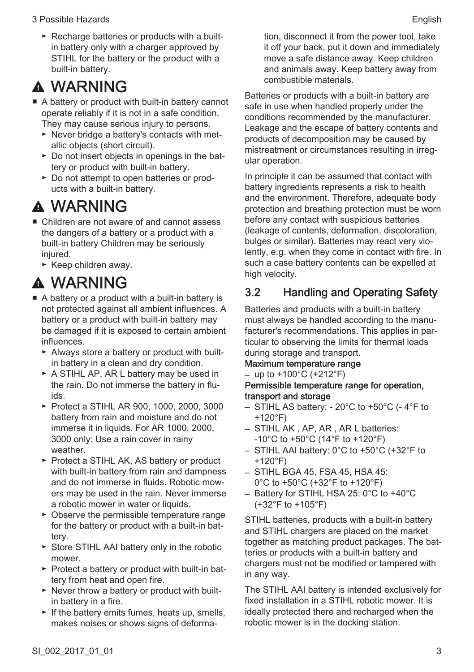► Recharge batteries or products with a builtin battery only with a charger approved by STIHL for the battery or the product with a built-in battery.

# **A WARNING**

- A battery or product with built-in battery cannot operate reliably if it is not in a safe condition. They may cause serious injury to persons.
	- ► Never bridge a battery's contacts with met‐ allic objects (short circuit).
	- ► Do not insert objects in openings in the bat‐ tery or product with built-in battery.
	- ► Do not attempt to open batteries or prod‐ ucts with a built-in battery.

# WARNING

- Children are not aware of and cannot assess the dangers of a battery or a product with a built-in battery Children may be seriously injured.
	- ► Keep children away.

# **A WARNING**

- A battery or a product with a built-in battery is not protected against all ambient influences. A battery or a product with built-in battery may be damaged if it is exposed to certain ambient influences.
	- ► Always store a battery or product with builtin battery in a clean and dry condition.
	- ► A STIHL AP, AR L battery may be used in the rain. Do not immerse the battery in flu‐ ids.
	- ► Protect a STIHL AR 900, 1000, 2000, 3000 battery from rain and moisture and do not immerse it in liquids. For AR 1000, 2000. 3000 only: Use a rain cover in rainy weather.
	- ► Protect a STIHL AK, AS battery or product with built-in battery from rain and dampness and do not immerse in fluids. Robotic mow‐ ers may be used in the rain. Never immerse a robotic mower in water or liquids.
	- ► Observe the permissible temperature range for the battery or product with a built-in battery.
	- ► Store STIHL AAI battery only in the robotic mower.
	- ► Protect a battery or product with built-in bat‐ tery from heat and open fire.
	- ► Never throw a battery or product with builtin battery in a fire.
	- ► If the battery emits fumes, heats up, smells, makes noises or shows signs of deforma‐

tion, disconnect it from the power tool, take it off your back, put it down and immediately move a safe distance away. Keep children and animals away. Keep battery away from combustible materials.

Batteries or products with a built-in battery are safe in use when handled properly under the conditions recommended by the manufacturer. Leakage and the escape of battery contents and products of decomposition may be caused by mistreatment or circumstances resulting in irreg‐ ular operation.

In principle it can be assumed that contact with battery ingredients represents a risk to health and the environment. Therefore, adequate body protection and breathing protection must be worn before any contact with suspicious batteries (leakage of contents, deformation, discoloration, bulges or similar). Batteries may react very vio‐ lently, e.g. when they come in contact with fire. In such a case battery contents can be expelled at high velocity.

### 3.2 Handling and Operating Safety

Batteries and products with a built-in battery must always be handled according to the manu‐ facturer's recommendations. This applies in par‐ ticular to observing the limits for thermal loads during storage and transport.

#### Maximum temperature range

 $-$  up to  $+100^{\circ}$ C (+212 $^{\circ}$ F)

#### Permissible temperature range for operation, transport and storage

- STIHL AS battery: 20°C to +50°C (- 4°F to +120°F)
- STIHL AK , AP, AR , AR L batteries: ‑10°C to +50°C (14°F to +120°F)
- STIHL AAI battery: 0°C to +50°C (+32°F to +120°F)
- STIHL BGA 45, FSA 45, HSA 45: 0°C to +50°C (+32°F to +120°F)
- Battery for STIHL HSA 25: 0°C to +40°C (+32°F to +105°F)

STIHL batteries, products with a built-in battery and STIHL chargers are placed on the market together as matching product packages. The bat‐ teries or products with a built-in battery and chargers must not be modified or tampered with in any way.

The STIHL AAI battery is intended exclusively for fixed installation in a STIHL robotic mower. It is ideally protected there and recharged when the robotic mower is in the docking station.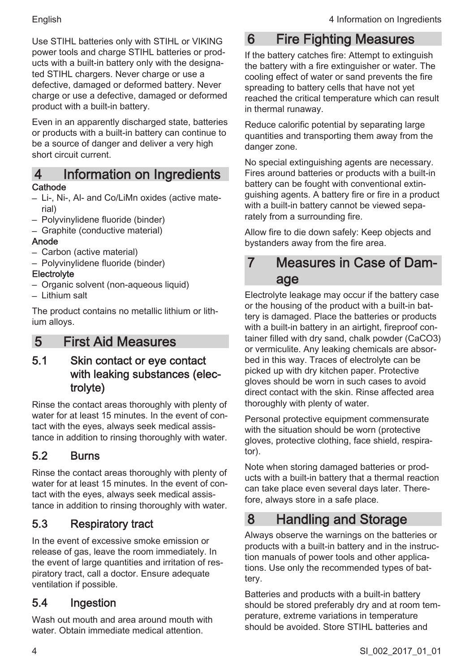<span id="page-3-0"></span>Use STIHL batteries only with STIHL or VIKING power tools and charge STIHL batteries or prod‐ ucts with a built-in battery only with the designa‐ ted STIHL chargers. Never charge or use a defective, damaged or deformed battery. Never charge or use a defective, damaged or deformed product with a built-in battery.

Even in an apparently discharged state, batteries or products with a built-in battery can continue to be a source of danger and deliver a very high short circuit current.

# 4 Information on Ingredients

#### **Cathode**

- Li-, Ni-, Al- and Co/LiMn oxides (active mate‐ rial)
- Polyvinylidene fluoride (binder)
- Graphite (conductive material)

#### Anode

- Carbon (active material)
- Polyvinylidene fluoride (binder)

#### **Electrolyte**

- Organic solvent (non-aqueous liquid)
- Lithium salt

The product contains no metallic lithium or lith‐ ium alloys.

#### 5 First Aid Measures

#### 5.1 Skin contact or eye contact with leaking substances (electrolyte)

Rinse the contact areas thoroughly with plenty of water for at least 15 minutes. In the event of contact with the eyes, always seek medical assis‐ tance in addition to rinsing thoroughly with water.

#### 5.2 Burns

Rinse the contact areas thoroughly with plenty of water for at least 15 minutes. In the event of contact with the eyes, always seek medical assis‐ tance in addition to rinsing thoroughly with water.

## 5.3 Respiratory tract

In the event of excessive smoke emission or release of gas, leave the room immediately. In the event of large quantities and irritation of respiratory tract, call a doctor. Ensure adequate ventilation if possible.

#### 5.4 Ingestion

Wash out mouth and area around mouth with water. Obtain immediate medical attention.

# 6 Fire Fighting Measures

If the battery catches fire: Attempt to extinguish the battery with a fire extinguisher or water. The cooling effect of water or sand prevents the fire spreading to battery cells that have not yet reached the critical temperature which can result in thermal runaway.

Reduce calorific potential by separating large quantities and transporting them away from the danger zone.

No special extinguishing agents are necessary. Fires around batteries or products with a built-in battery can be fought with conventional extin‐ guishing agents. A battery fire or fire in a product with a built-in battery cannot be viewed separately from a surrounding fire.

Allow fire to die down safely: Keep objects and bystanders away from the fire area.

## 7 Measures in Case of Dam‐ age

Electrolyte leakage may occur if the battery case or the housing of the product with a built-in bat‐ tery is damaged. Place the batteries or products with a built-in battery in an airtight, fireproof container filled with dry sand, chalk powder (CaCO3) or vermiculite. Any leaking chemicals are absor‐ bed in this way. Traces of electrolyte can be picked up with dry kitchen paper. Protective gloves should be worn in such cases to avoid direct contact with the skin. Rinse affected area thoroughly with plenty of water.

Personal protective equipment commensurate with the situation should be worn (protective gloves, protective clothing, face shield, respira‐ tor).

Note when storing damaged batteries or prod‐ ucts with a built-in battery that a thermal reaction can take place even several days later. There‐ fore, always store in a safe place.

# 8 Handling and Storage

Always observe the warnings on the batteries or products with a built-in battery and in the instruc‐ tion manuals of power tools and other applications. Use only the recommended types of bat‐ tery.

Batteries and products with a built-in battery should be stored preferably dry and at room tem‐ perature, extreme variations in temperature should be avoided. Store STIHL batteries and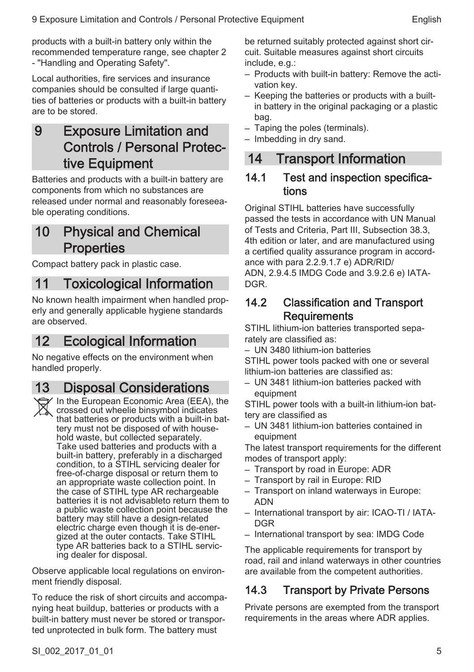<span id="page-4-0"></span>products with a built-in battery only within the recommended temperature range, see chapter 2 - "Handling and Operating Safety".

Local authorities, fire services and insurance companies should be consulted if large quanti‐ ties of batteries or products with a built-in battery are to be stored.

## 9 Exposure Limitation and Controls / Personal Protec‐ tive Equipment

Batteries and products with a built-in battery are components from which no substances are released under normal and reasonably foreseea‐ ble operating conditions.

## 10 Physical and Chemical **Properties**

Compact battery pack in plastic case.

#### 11 Toxicological Information

No known health impairment when handled prop‐ erly and generally applicable hygiene standards are observed.

# 12 Ecological Information

No negative effects on the environment when handled properly.

#### 13 Disposal Considerations

In the European Economic Area (EEA), the crossed out wheelie binsymbol indicates that batteries or products with a built-in bat‐ tery must not be disposed of with household waste, but collected separately. Take used batteries and products with a built-in battery, preferably in a discharged condition, to a STIHL servicing dealer for free-of-charge disposal or return them to an appropriate waste collection point. In the case of STIHL type AR rechargeable batteries it is not advisableto return them to a public waste collection point because the battery may still have a design-related electric charge even though it is de-ener‐ gized at the outer contacts. Take STIHL type AR batteries back to a STIHL servic‐ ing dealer for disposal.

Observe applicable local regulations on environment friendly disposal.

To reduce the risk of short circuits and accompa‐ nying heat buildup, batteries or products with a built-in battery must never be stored or transpor‐ ted unprotected in bulk form. The battery must

be returned suitably protected against short cir‐ cuit. Suitable measures against short circuits include, e.g.:

- Products with built-in battery: Remove the acti‐ vation key.
- Keeping the batteries or products with a builtin battery in the original packaging or a plastic bag.
- Taping the poles (terminals).
- Imbedding in dry sand.

#### 14 Transport Information

#### 14.1 Test and inspection specifications

Original STIHL batteries have successfully passed the tests in accordance with UN Manual of Tests and Criteria, Part III, Subsection 38.3, 4th edition or later, and are manufactured using a certified quality assurance program in accord‐ ance with para 2.2.9.1.7 e) ADR/RID/ ADN, 2.9.4.5 IMDG Code and 3.9.2.6 e) IATA-DGR.

#### 14.2 Classification and Transport **Requirements**

STIHL lithium-ion batteries transported sepa‐ rately are classified as:

– UN 3480 lithium-ion batteries

STIHL power tools packed with one or several lithium-ion batteries are classified as:

– UN 3481 lithium-ion batteries packed with equipment

STIHL power tools with a built-in lithium-ion bat‐ tery are classified as

– UN 3481 lithium-ion batteries contained in equipment

The latest transport requirements for the different modes of transport apply:

- Transport by road in Europe: ADR
- Transport by rail in Europe: RID
- Transport on inland waterways in Europe: ADN
- International transport by air: ICAO-TI / IATA-DGR
- International transport by sea: IMDG Code

The applicable requirements for transport by road, rail and inland waterways in other countries are available from the competent authorities.

#### 14.3 Transport by Private Persons

Private persons are exempted from the transport requirements in the areas where ADR applies.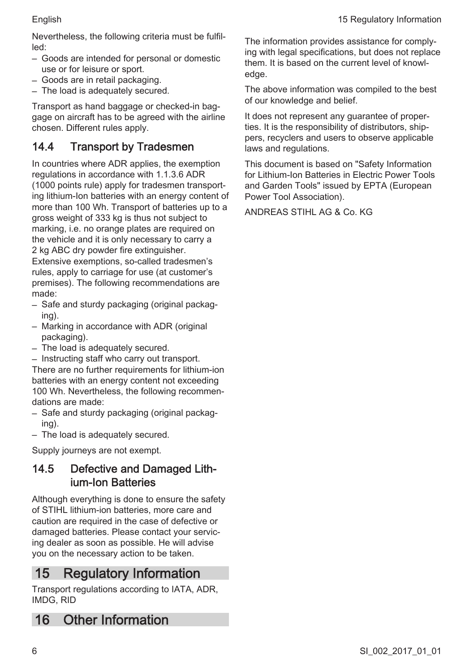<span id="page-5-0"></span>Nevertheless, the following criteria must be fulfil‐ led:

- Goods are intended for personal or domestic use or for leisure or sport.
- Goods are in retail packaging.
- The load is adequately secured.

Transport as hand baggage or checked-in bag‐ gage on aircraft has to be agreed with the airline chosen. Different rules apply.

# 14.4 Transport by Tradesmen

In countries where ADR applies, the exemption regulations in accordance with 1.1.3.6 ADR (1000 points rule) apply for tradesmen transport‐ ing lithium-Ion batteries with an energy content of more than 100 Wh. Transport of batteries up to a gross weight of 333 kg is thus not subject to marking, i.e. no orange plates are required on the vehicle and it is only necessary to carry a 2 kg ABC dry powder fire extinguisher. Extensive exemptions, so-called tradesmen's rules, apply to carriage for use (at customer's premises). The following recommendations are made:

- Safe and sturdy packaging (original packag‐ ing).
- Marking in accordance with ADR (original packaging).
- The load is adequately secured.

– Instructing staff who carry out transport.

There are no further requirements for lithium-ion batteries with an energy content not exceeding 100 Wh. Nevertheless, the following recommendations are made:

- Safe and sturdy packaging (original packag‐ ing).
- The load is adequately secured.

Supply journeys are not exempt.

#### 14.5 Defective and Damaged Lith‐ ium-Ion Batteries

Although everything is done to ensure the safety of STIHL lithium-ion batteries, more care and caution are required in the case of defective or damaged batteries. Please contact your servic‐ ing dealer as soon as possible. He will advise you on the necessary action to be taken.

# 15 Regulatory Information

Transport regulations according to IATA, ADR, IMDG, RID

# 16 Other Information

The information provides assistance for comply‐ ing with legal specifications, but does not replace them. It is based on the current level of knowledge.

The above information was compiled to the best of our knowledge and belief.

It does not represent any guarantee of proper‐ ties. It is the responsibility of distributors, ship‐ pers, recyclers and users to observe applicable laws and regulations.

This document is based on "Safety Information for Lithium-Ion Batteries in Electric Power Tools and Garden Tools" issued by EPTA (European Power Tool Association).

ANDREAS STIHL AG & Co. KG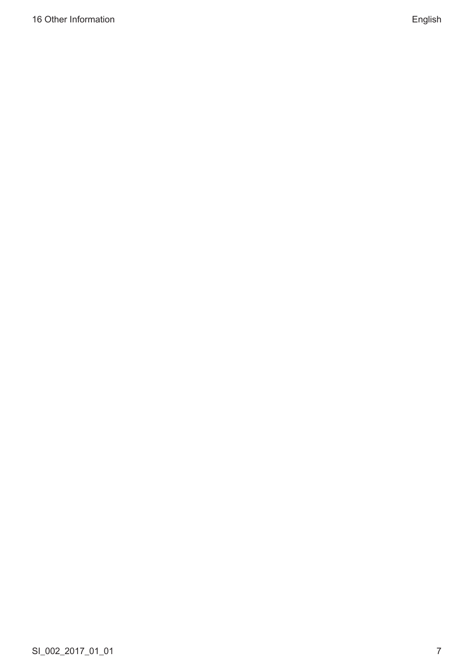16 Other Information **English**